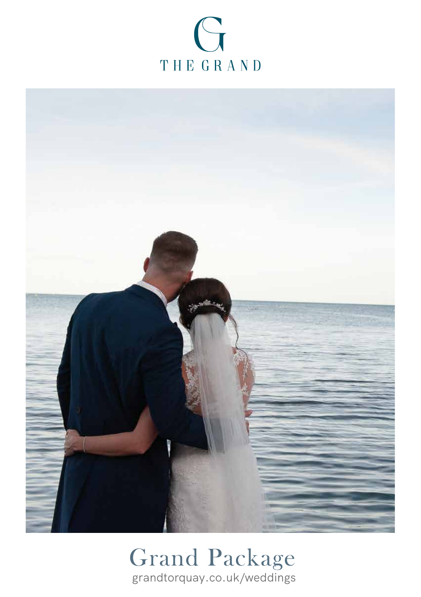



## Grand Package grandtorquay.co.uk/weddings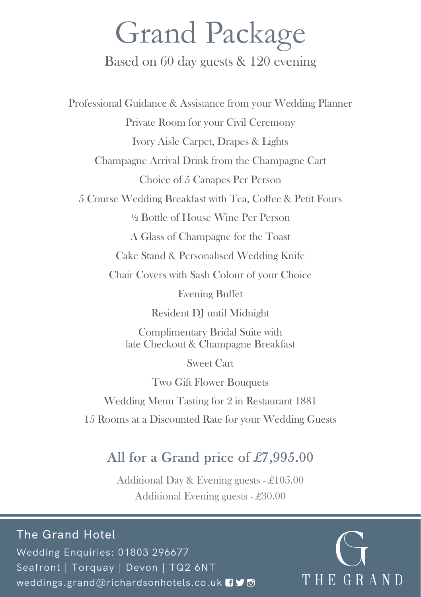# Grand Package

#### Based on 60 day guests & 120 evening

Professional Guidance & Assistance from your Wedding Planner Private Room for your Civil Ceremony Ivory Aisle Carpet, Drapes & Lights Champagne Arrival Drink from the Champagne Cart Choice of 5 Canapes Per Person 5 Course Wedding Breakfast with Tea, Coffee & Petit Fours ½ Bottle of House Wine Per Person A Glass of Champagne for the Toast Cake Stand & Personalised Wedding Knife Chair Covers with Sash Colour of your Choice Evening Buffet Resident DJ until Midnight Complimentary Bridal Suite with late Checkout & Champagne Breakfast Sweet Cart

Two Gift Flower Bouquets

Wedding Menu Tasting for 2 in Restaurant 1881

15 Rooms at a Discounted Rate for your Wedding Guests

### All for a Grand price of £7,995.00

Additional Day & Evening guests - £105.00 Additional Evening guests - £30.00

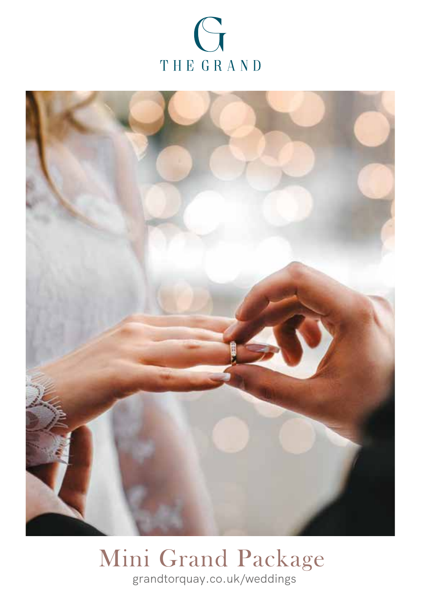



### Mini Grand Package grandtorquay.co.uk/weddings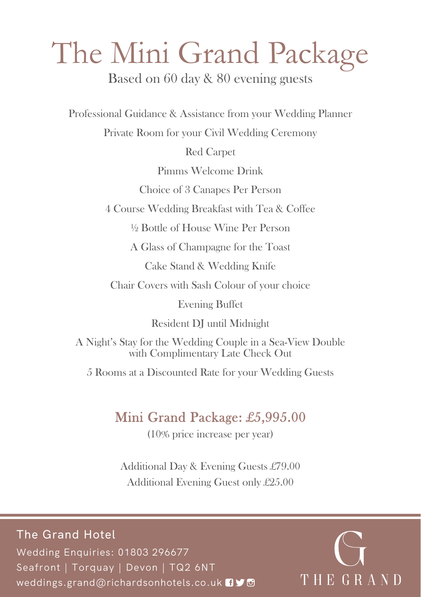# The Mini Grand Package

Based on 60 day & 80 evening guests

Professional Guidance & Assistance from your Wedding Planner

Private Room for your Civil Wedding Ceremony

Red Carpet

Pimms Welcome Drink

Choice of 3 Canapes Per Person

4 Course Wedding Breakfast with Tea & Coffee

½ Bottle of House Wine Per Person

A Glass of Champagne for the Toast

Cake Stand & Wedding Knife

Chair Covers with Sash Colour of your choice

Evening Buffet

Resident DJ until Midnight

A Night's Stay for the Wedding Couple in a Sea-View Double with Complimentary Late Check Out

5 Rooms at a Discounted Rate for your Wedding Guests

### Mini Grand Package: £5,995.00

(10% price increase per year)

Additional Day & Evening Guests £79.00 Additional Evening Guest only £25.00

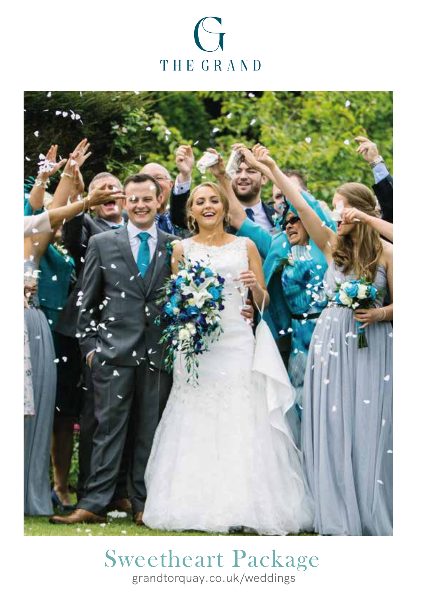



### Sweetheart Package grandtorquay.co.uk/weddings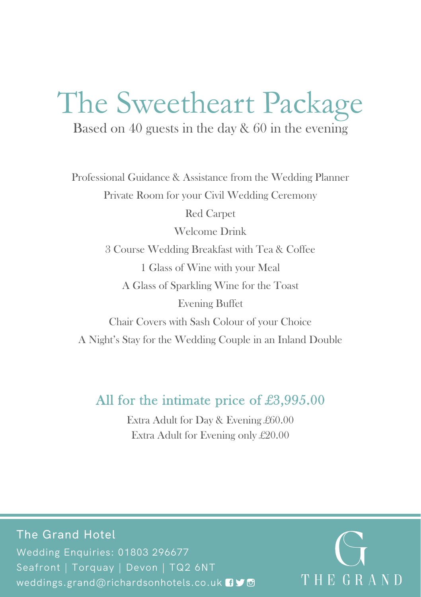# The Sweetheart Package

Based on 40 guests in the day & 60 in the evening

Professional Guidance & Assistance from the Wedding Planner Private Room for your Civil Wedding Ceremony Red Carpet Welcome Drink 3 Course Wedding Breakfast with Tea & Coffee 1 Glass of Wine with your Meal A Glass of Sparkling Wine for the Toast Evening Buffet Chair Covers with Sash Colour of your Choice A Night's Stay for the Wedding Couple in an Inland Double

#### All for the intimate price of £3,995.00

Extra Adult for Day & Evening £60.00 Extra Adult for Evening only £20.00

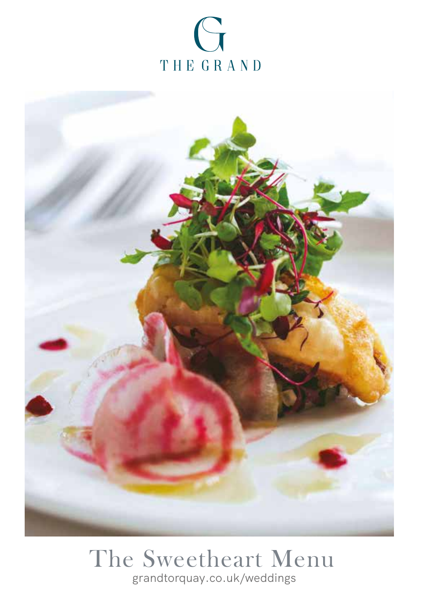



## The Sweetheart Menu grandtorquay.co.uk/weddings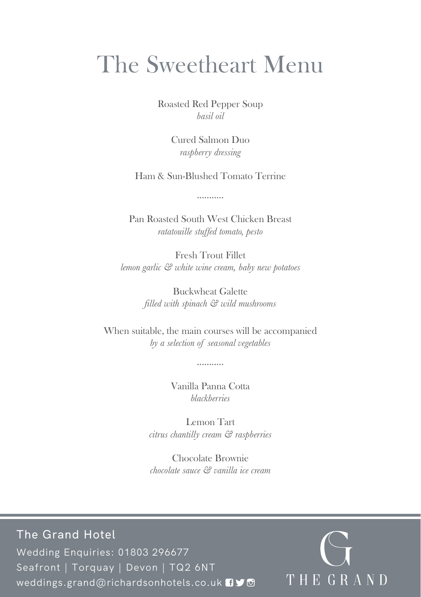# The Sweetheart Menu

Roasted Red Pepper Soup *basil oil*

> Cured Salmon Duo *raspberry dressing*

Ham & Sun-Blushed Tomato Terrine

...........

Pan Roasted South West Chicken Breast *ratatouille stuffed tomato, pesto*

Fresh Trout Fillet *lemon garlic & white wine cream, baby new potatoes*

> Buckwheat Galette *filled with spinach & wild mushrooms*

When suitable, the main courses will be accompanied *by a selection of seasonal vegetables*

...........

Vanilla Panna Cotta *blackberries*

Lemon Tart *citrus chantilly cream & raspberries*

Chocolate Brownie *chocolate sauce & vanilla ice cream*

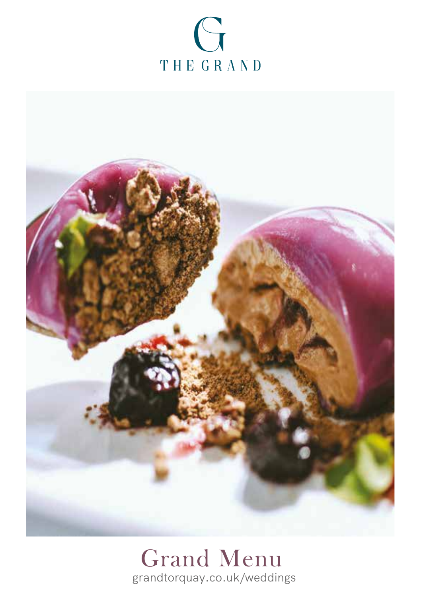



# Grand Menu grandtorquay.co.uk/weddings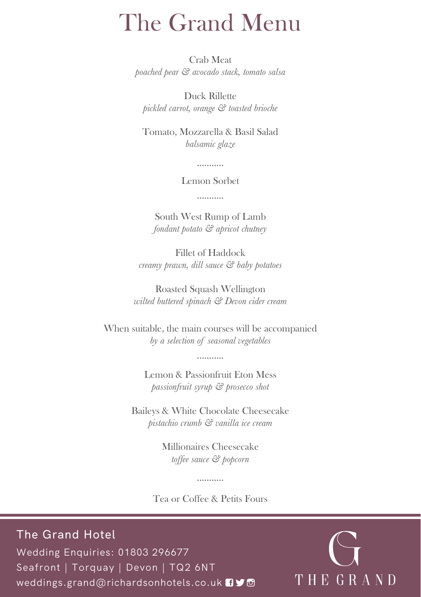# The Grand Menu

Crab Meat *poached pear & avocado stack, tomato salsa*

Duck Rillette *pickled carrot, orange & toasted brioche*

Tomato, Mozzarella & Basil Salad *balsamic glaze*

...........

Lemon Sorbet

...........

South West Rump of Lamb *fondant potato & apricot chutney*

Fillet of Haddock *creamy prawn, dill sauce & baby potatoes*

Roasted Squash Wellington *wilted buttered spinach & Devon cider cream*

When suitable, the main courses will be accompanied *by a selection of seasonal vegetables*

...........

Lemon & Passionfruit Eton Mess *passionfruit syrup & prosecco shot*

Baileys & White Chocolate Cheesecake *pistachio crumb & vanilla ice cream*

> Millionaires Cheesecake *toffee sauce & popcorn*

Tea or Coffee & Petits Fours

...........

The Grand Hotel Wedding Enquiries: 01803 296677 Seafront | Torquay | Devon | TQ2 6NT weddings.grand@richardsonhotels.co.uk 09 THEGRAND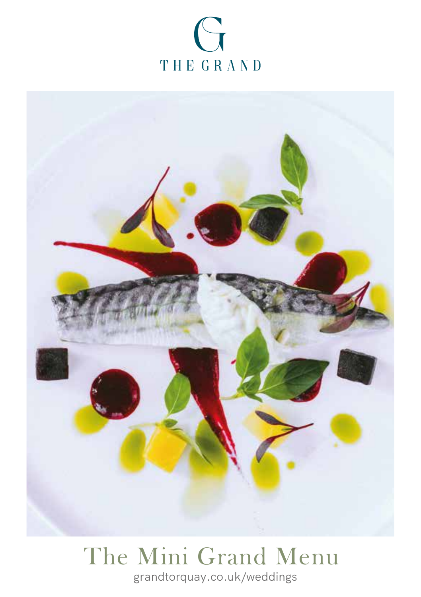



## The Mini Grand Menu grandtorquay.co.uk/weddings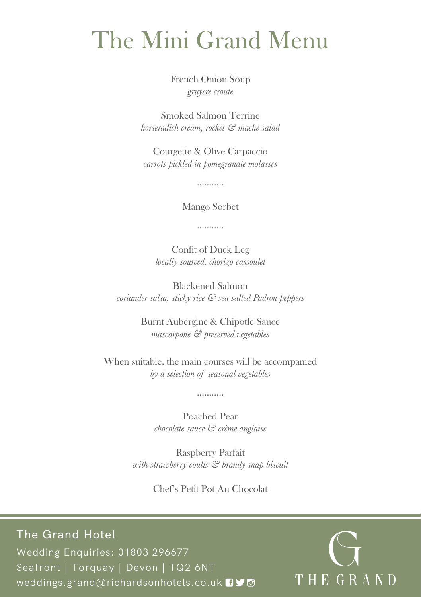# The Mini Grand Menu

French Onion Soup *gruyere croute*

Smoked Salmon Terrine *horseradish cream, rocket & mache salad*

Courgette & Olive Carpaccio *carrots pickled in pomegranate molasses*

...........

Mango Sorbet

...........

Confit of Duck Leg *locally sourced, chorizo cassoulet*

Blackened Salmon *coriander salsa, sticky rice & sea salted Padron peppers*

> Burnt Aubergine & Chipotle Sauce *mascarpone & preserved vegetables*

When suitable, the main courses will be accompanied *by a selection of seasonal vegetables*

...........

Poached Pear *chocolate sauce & crème anglaise*

Raspberry Parfait *with strawberry coulis & brandy snap biscuit*

Chef's Petit Pot Au Chocolat

The Grand Hotel Wedding Enquiries: 01803 296677 Seafront | Torquay | Devon | TQ2 6NT weddings.grand@richardsonhotels.co.uk  $\Box \blacktriangleright \Box$ 

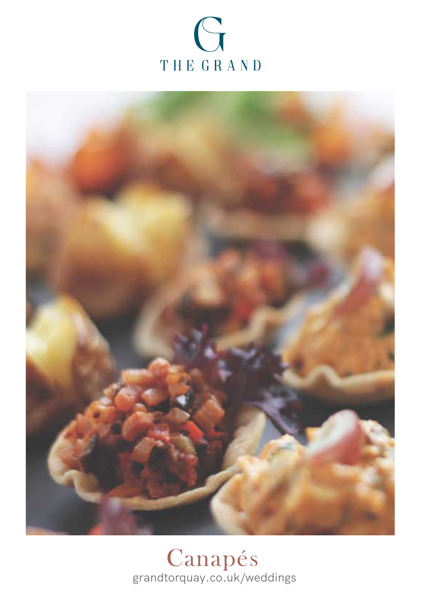



Canapés grandtorquay.co.uk/weddings